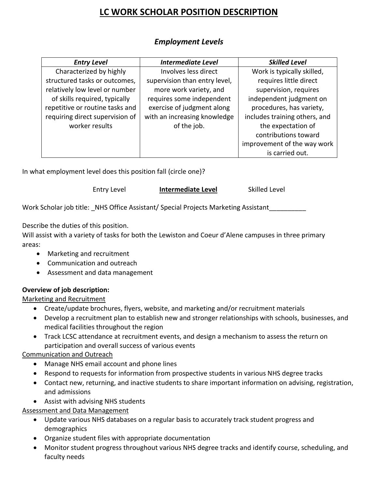# **LC WORK SCHOLAR POSITION DESCRIPTION**

| <b>Entry Level</b>              | <b>Intermediate Level</b>     | <b>Skilled Level</b>          |
|---------------------------------|-------------------------------|-------------------------------|
| Characterized by highly         | Involves less direct          | Work is typically skilled,    |
| structured tasks or outcomes,   | supervision than entry level, | requires little direct        |
| relatively low level or number  | more work variety, and        | supervision, requires         |
| of skills required, typically   | requires some independent     | independent judgment on       |
| repetitive or routine tasks and | exercise of judgment along    | procedures, has variety,      |
| requiring direct supervision of | with an increasing knowledge  | includes training others, and |
| worker results                  | of the job.                   | the expectation of            |
|                                 |                               | contributions toward          |
|                                 |                               | improvement of the way work   |
|                                 |                               | is carried out.               |

## *Employment Levels*

In what employment level does this position fall (circle one)?

Entry Level **Intermediate Level** Skilled Level

Work Scholar job title: \_NHS Office Assistant/ Special Projects Marketing Assistant

Describe the duties of this position.

Will assist with a variety of tasks for both the Lewiston and Coeur d'Alene campuses in three primary areas:

- Marketing and recruitment
- Communication and outreach
- Assessment and data management

### **Overview of job description:**

Marketing and Recruitment

- Create/update brochures, flyers, website, and marketing and/or recruitment materials
- Develop a recruitment plan to establish new and stronger relationships with schools, businesses, and medical facilities throughout the region
- Track LCSC attendance at recruitment events, and design a mechanism to assess the return on participation and overall success of various events

### Communication and Outreach

- Manage NHS email account and phone lines
- Respond to requests for information from prospective students in various NHS degree tracks
- Contact new, returning, and inactive students to share important information on advising, registration, and admissions
- Assist with advising NHS students

### **Assessment and Data Management**

- Update various NHS databases on a regular basis to accurately track student progress and demographics
- Organize student files with appropriate documentation
- Monitor student progress throughout various NHS degree tracks and identify course, scheduling, and faculty needs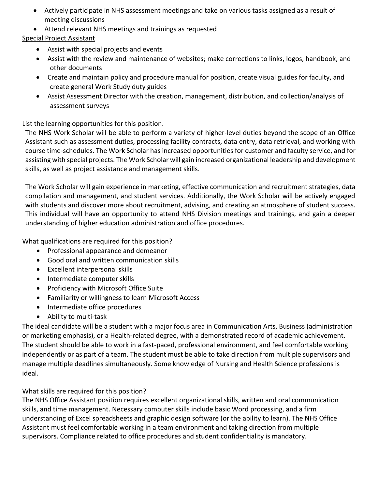- Actively participate in NHS assessment meetings and take on various tasks assigned as a result of meeting discussions
- Attend relevant NHS meetings and trainings as requested

### Special Project Assistant

- Assist with special projects and events
- Assist with the review and maintenance of websites; make corrections to links, logos, handbook, and other documents
- Create and maintain policy and procedure manual for position, create visual guides for faculty, and create general Work Study duty guides
- Assist Assessment Director with the creation, management, distribution, and collection/analysis of assessment surveys

List the learning opportunities for this position.

The NHS Work Scholar will be able to perform a variety of higher-level duties beyond the scope of an Office Assistant such as assessment duties, processing facility contracts, data entry, data retrieval, and working with course time-schedules. The Work Scholar has increased opportunities for customer and faculty service, and for assisting with special projects. The Work Scholar will gain increased organizational leadership and development skills, as well as project assistance and management skills.

The Work Scholar will gain experience in marketing, effective communication and recruitment strategies, data compilation and management, and student services. Additionally, the Work Scholar will be actively engaged with students and discover more about recruitment, advising, and creating an atmosphere of student success. This individual will have an opportunity to attend NHS Division meetings and trainings, and gain a deeper understanding of higher education administration and office procedures.

What qualifications are required for this position?

- Professional appearance and demeanor
- Good oral and written communication skills
- Excellent interpersonal skills
- Intermediate computer skills
- Proficiency with Microsoft Office Suite
- Familiarity or willingness to learn Microsoft Access
- Intermediate office procedures
- Ability to multi-task

The ideal candidate will be a student with a major focus area in Communication Arts, Business (administration or marketing emphasis), or a Health-related degree, with a demonstrated record of academic achievement. The student should be able to work in a fast-paced, professional environment, and feel comfortable working independently or as part of a team. The student must be able to take direction from multiple supervisors and manage multiple deadlines simultaneously. Some knowledge of Nursing and Health Science professions is ideal.

### What skills are required for this position?

The NHS Office Assistant position requires excellent organizational skills, written and oral communication skills, and time management. Necessary computer skills include basic Word processing, and a firm understanding of Excel spreadsheets and graphic design software (or the ability to learn). The NHS Office Assistant must feel comfortable working in a team environment and taking direction from multiple supervisors. Compliance related to office procedures and student confidentiality is mandatory.